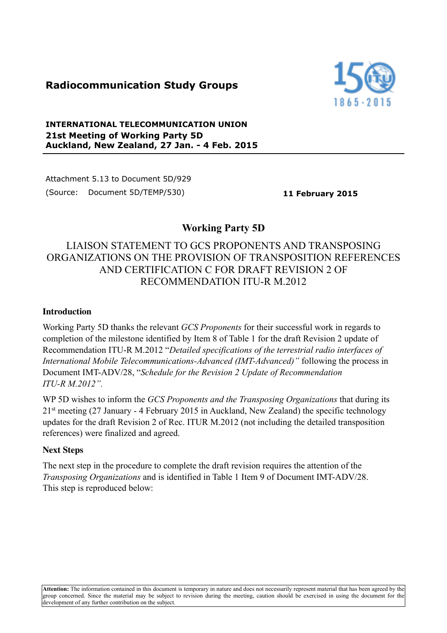# **Radiocommunication Study Groups**



### **INTERNATIONAL TELECOMMUNICATION UNION 21st Meeting of Working Party 5D Auckland, New Zealand, 27 Jan. - 4 Feb. 2015**

Attachment 5.13 to Document 5D/929 (Source: Document 5D/TEMP/530) **11 February 2015**

## **Working Party 5D**

# LIAISON STATEMENT TO GCS PROPONENTS AND TRANSPOSING ORGANIZATIONS ON THE PROVISION OF TRANSPOSITION REFERENCES AND CERTIFICATION C FOR DRAFT REVISION 2 OF RECOMMENDATION ITU-R M.2012

### **Introduction**

Working Party 5D thanks the relevant *GCS Proponents* for their successful work in regards to completion of the milestone identified by Item 8 of Table 1 for the draft Revision 2 update of Recommendation ITU-R M.2012 "*Detailed specifications of the terrestrial radio interfaces of International Mobile Telecommunications-Advanced (IMT-Advanced)"* following the process in Document IMT-ADV/28, "*Schedule for the Revision 2 Update of Recommendation ITU-R M.2012".* 

WP 5D wishes to inform the *GCS Proponents and the Transposing Organizations* that during its 21st meeting (27 January - 4 February 2015 in Auckland, New Zealand) the specific technology updates for the draft Revision 2 of Rec. ITUR M.2012 (not including the detailed transposition references) were finalized and agreed.

#### **Next Steps**

The next step in the procedure to complete the draft revision requires the attention of the *Transposing Organizations* and is identified in Table 1 Item 9 of Document IMT-ADV/28. This step is reproduced below:

**Attention:** The information contained in this document is temporary in nature and does not necessarily represent material that has been agreed by the group concerned. Since the material may be subject to revision during the meeting, caution should be exercised in using the document for the development of any further contribution on the subject.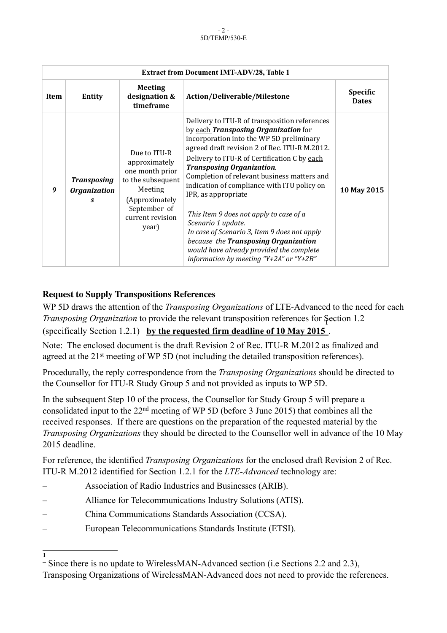| <b>Extract from Document IMT-ADV/28, Table 1</b> |                                                |                                                                                                                                                 |                                                                                                                                                                                                                                                                                                                                                                                                                                                                                                                                                                                                                                             |                                 |
|--------------------------------------------------|------------------------------------------------|-------------------------------------------------------------------------------------------------------------------------------------------------|---------------------------------------------------------------------------------------------------------------------------------------------------------------------------------------------------------------------------------------------------------------------------------------------------------------------------------------------------------------------------------------------------------------------------------------------------------------------------------------------------------------------------------------------------------------------------------------------------------------------------------------------|---------------------------------|
| Item                                             | Entity                                         | <b>Meeting</b><br>designation &<br>timeframe                                                                                                    | Action/Deliverable/Milestone                                                                                                                                                                                                                                                                                                                                                                                                                                                                                                                                                                                                                | <b>Specific</b><br><b>Dates</b> |
| 9                                                | <b>Transposing</b><br><b>Organization</b><br>S | Due to ITU-R<br>approximately<br>one month prior<br>to the subsequent<br>Meeting<br>(Approximately<br>September of<br>current revision<br>year) | Delivery to ITU-R of transposition references<br>by each Transposing Organization for<br>incorporation into the WP 5D preliminary<br>agreed draft revision 2 of Rec. ITU-R M.2012.<br>Delivery to ITU-R of Certification C by each<br><b>Transposing Organization.</b><br>Completion of relevant business matters and<br>indication of compliance with ITU policy on<br>IPR, as appropriate<br>This Item 9 does not apply to case of a<br>Scenario 1 update.<br>In case of Scenario 3, Item 9 does not apply<br>because the Transposing Organization<br>would have already provided the complete<br>information by meeting "Y+2A" or "Y+2B" | 10 May 2015                     |

### **Request to Supply Transpositions References**

WP 5D draws the attention of the *Transposing Organizations* of LTE-Advanced to the need for each *Transposing Organization* to provide the relevant transposition references for Section 1.2 **1** (specifically Section 1.2.1) **by the requested firm deadline of 10 May 2015** .

Note: The enclosed document is the draft Revision 2 of Rec. ITU-R M.2012 as finalized and agreed at the 21st meeting of WP 5D (not including the detailed transposition references).

Procedurally, the reply correspondence from the *Transposing Organizations* should be directed to the Counsellor for ITU-R Study Group 5 and not provided as inputs to WP 5D.

In the subsequent Step 10 of the process, the Counsellor for Study Group 5 will prepare a consolidated input to the 22nd meeting of WP 5D (before 3 June 2015) that combines all the received responses. If there are questions on the preparation of the requested material by the *Transposing Organizations* they should be directed to the Counsellor well in advance of the 10 May 2015 deadline.

For reference, the identified *Transposing Organizations* for the enclosed draft Revision 2 of Rec. ITU-R M.2012 identified for Section 1.2.1 for the *LTE-Advanced* technology are:

- Association of Radio Industries and Businesses (ARIB).
- Alliance for Telecommunications Industry Solutions (ATIS).
- China Communications Standards Association (CCSA).

**1**

– European Telecommunications Standards Institute (ETSI).

Since there is no update to WirelessMAN-Advanced section (i.e Sections 2.2 and 2.3), Transposing Organizations of WirelessMAN-Advanced does not need to provide the references.